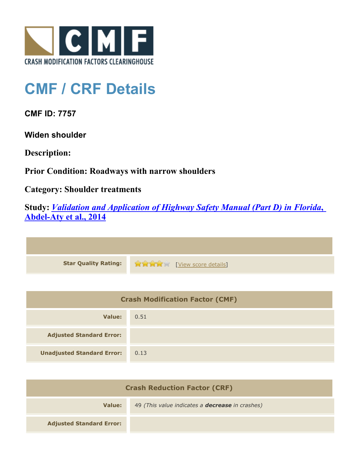

## **CMF / CRF Details**

**CMF ID: 7757**

**Widen shoulder**

**Description:** 

**Prior Condition: Roadways with narrow shoulders**

**Category: Shoulder treatments**

**Study:** *[Validation and Application of Highway Safety Manual \(Part D\) in Florida](http://www.cmfclearinghouse.org/study_detail.cfm?stid=433)***[,](http://www.cmfclearinghouse.org/study_detail.cfm?stid=433) [Abdel-Aty et al., 2014](http://www.cmfclearinghouse.org/study_detail.cfm?stid=433)**

| <b>Star Quality Rating:</b> | View score details] |
|-----------------------------|---------------------|

| <b>Crash Modification Factor (CMF)</b> |      |
|----------------------------------------|------|
| Value:                                 | 0.51 |
| <b>Adjusted Standard Error:</b>        |      |
| <b>Unadjusted Standard Error:</b>      | 0.13 |

| <b>Crash Reduction Factor (CRF)</b> |                                                        |
|-------------------------------------|--------------------------------------------------------|
| Value:                              | 49 (This value indicates a <b>decrease</b> in crashes) |
| <b>Adjusted Standard Error:</b>     |                                                        |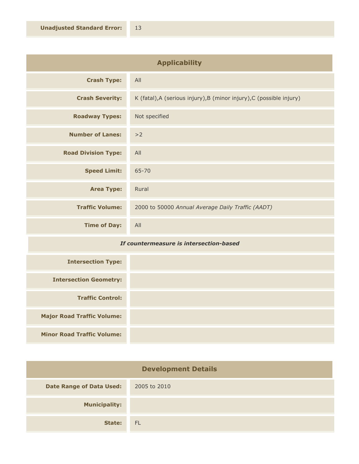| <b>Applicability</b>       |                                                                      |
|----------------------------|----------------------------------------------------------------------|
| <b>Crash Type:</b>         | All                                                                  |
| <b>Crash Severity:</b>     | K (fatal), A (serious injury), B (minor injury), C (possible injury) |
| <b>Roadway Types:</b>      | Not specified                                                        |
| <b>Number of Lanes:</b>    | >2                                                                   |
| <b>Road Division Type:</b> | All                                                                  |
| <b>Speed Limit:</b>        | $65 - 70$                                                            |
| <b>Area Type:</b>          | Rural                                                                |
| <b>Traffic Volume:</b>     | 2000 to 50000 Annual Average Daily Traffic (AADT)                    |
| <b>Time of Day:</b>        | All                                                                  |

## *If countermeasure is intersection-based*

| <b>Intersection Type:</b>         |  |
|-----------------------------------|--|
| <b>Intersection Geometry:</b>     |  |
| <b>Traffic Control:</b>           |  |
| <b>Major Road Traffic Volume:</b> |  |
| <b>Minor Road Traffic Volume:</b> |  |

| <b>Development Details</b>      |              |
|---------------------------------|--------------|
| <b>Date Range of Data Used:</b> | 2005 to 2010 |
| <b>Municipality:</b>            |              |
| State:                          | - FL         |